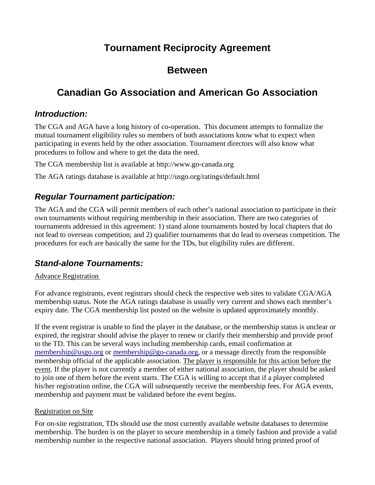# **Tournament Reciprocity Agreement**

## **Between**

# **Canadian Go Association and American Go Association**

### *Introduction:*

The CGA and AGA have a long history of co-operation. This document attempts to formalize the mutual tournament eligibility rules so members of both associations know what to expect when participating in events held by the other association. Tournament directors will also know what procedures to follow and where to get the data the need.

The CGA membership list is available at http://www.go-canada.org

The AGA ratings database is available at http://usgo.org/ratings/default.html

## *Regular Tournament participation:*

The AGA and the CGA will permit members of each other's national association to participate in their own tournaments without requiring membership in their association. There are two categories of tournaments addressed in this agreement: 1) stand alone tournaments hosted by local chapters that do not lead to overseas competition; and 2) qualifier tournaments that do lead to overseas competition. The procedures for each are basically the same for the TDs, but eligibility rules are different.

### *Stand-alone Tournaments:*

#### Advance Registration

For advance registrants, event registrars should check the respective web sites to validate CGA/AGA membership status. Note the AGA ratings database is usually very current and shows each member's expiry date. The CGA membership list posted on the website is updated approximately monthly.

If the event registrar is unable to find the player in the database, or the membership status is unclear or expired, the registrar should advise the player to renew or clarify their membership and provide proof to the TD. This can be several ways including membership cards, email confirmation at [membership@usgo.org](mailto:membership@usgo.org) or [membership@go-canada.org,](mailto:membership@go-canada.org) or a message directly from the responsible membership official of the applicable association. The player is responsible for this action before the event. If the player is not currently a member of either national association, the player should be asked to join one of them before the event starts. The CGA is willing to accept that if a player completed his/her registration online, the CGA will subsequently receive the membership fees. For AGA events, membership and payment must be validated before the event begins.

#### Registration on Site

For on-site registration, TDs should use the most currently available website databases to determine membership. The burden is on the player to secure membership in a timely fashion and provide a valid membership number in the respective national association. Players should bring printed proof of